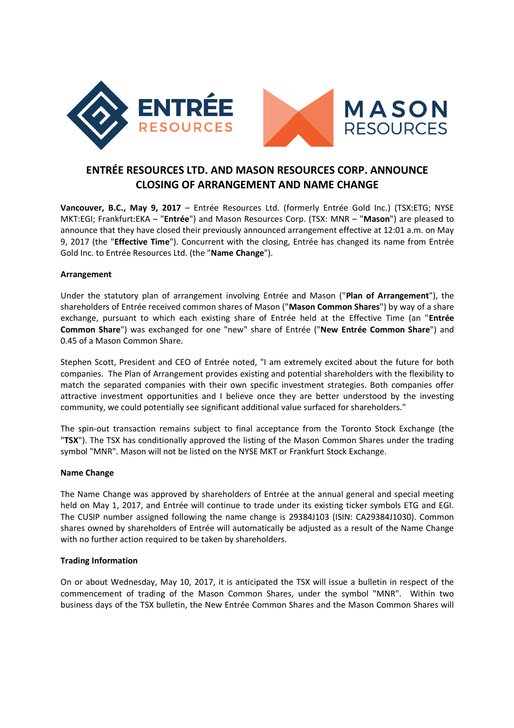

# **ENTRÉE RESOURCES LTD. AND MASON RESOURCES CORP. ANNOUNCE CLOSING OF ARRANGEMENT AND NAME CHANGE**

**Vancouver, B.C., May 9, 2017** – Entrée Resources Ltd. (formerly Entrée Gold Inc.) (TSX:ETG; NYSE MKT:EGI; Frankfurt:EKA – "**Entrée**") and Mason Resources Corp. (TSX: MNR – "**Mason**") are pleased to announce that they have closed their previously announced arrangement effective at 12:01 a.m. on May 9, 2017 (the "**Effective Time**"). Concurrent with the closing, Entrée has changed its name from Entrée Gold Inc. to Entrée Resources Ltd. (the "**Name Change**").

# **Arrangement**

Under the statutory plan of arrangement involving Entrée and Mason ("**Plan of Arrangement**"), the shareholders of Entrée received common shares of Mason ("**Mason Common Shares**") by way of a share exchange, pursuant to which each existing share of Entrée held at the Effective Time (an "**Entrée Common Share**") was exchanged for one "new" share of Entrée ("**New Entrée Common Share**") and 0.45 of a Mason Common Share.

Stephen Scott, President and CEO of Entrée noted, "I am extremely excited about the future for both companies. The Plan of Arrangement provides existing and potential shareholders with the flexibility to match the separated companies with their own specific investment strategies. Both companies offer attractive investment opportunities and I believe once they are better understood by the investing community, we could potentially see significant additional value surfaced for shareholders."

The spin-out transaction remains subject to final acceptance from the Toronto Stock Exchange (the "**TSX**"). The TSX has conditionally approved the listing of the Mason Common Shares under the trading symbol "MNR". Mason will not be listed on the NYSE MKT or Frankfurt Stock Exchange.

#### **Name Change**

The Name Change was approved by shareholders of Entrée at the annual general and special meeting held on May 1, 2017, and Entrée will continue to trade under its existing ticker symbols ETG and EGI. The CUSIP number assigned following the name change is 29384J103 (ISIN: CA29384J1030). Common shares owned by shareholders of Entrée will automatically be adjusted as a result of the Name Change with no further action required to be taken by shareholders.

# **Trading Information**

On or about Wednesday, May 10, 2017, it is anticipated the TSX will issue a bulletin in respect of the commencement of trading of the Mason Common Shares, under the symbol "MNR". Within two business days of the TSX bulletin, the New Entrée Common Shares and the Mason Common Shares will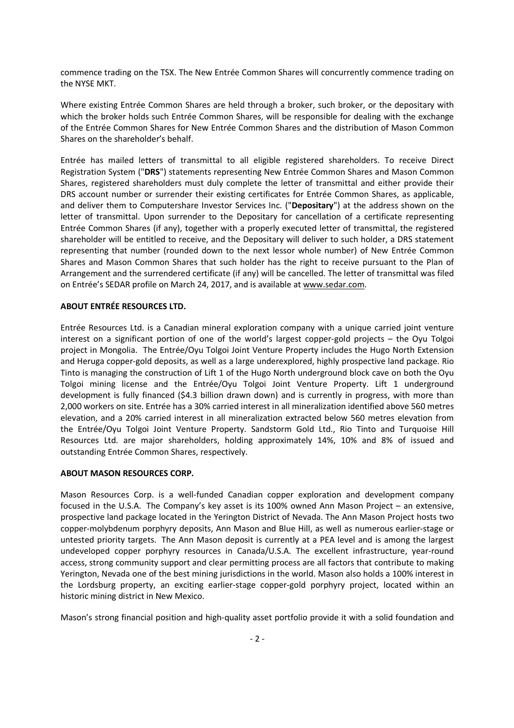commence trading on the TSX. The New Entrée Common Shares will concurrently commence trading on the NYSE MKT.

Where existing Entrée Common Shares are held through a broker, such broker, or the depositary with which the broker holds such Entrée Common Shares, will be responsible for dealing with the exchange of the Entrée Common Shares for New Entrée Common Shares and the distribution of Mason Common Shares on the shareholder's behalf.

Entrée has mailed letters of transmittal to all eligible registered shareholders. To receive Direct Registration System ("**DRS**") statements representing New Entrée Common Shares and Mason Common Shares, registered shareholders must duly complete the letter of transmittal and either provide their DRS account number or surrender their existing certificates for Entrée Common Shares, as applicable, and deliver them to Computershare Investor Services Inc. ("**Depositary**") at the address shown on the letter of transmittal. Upon surrender to the Depositary for cancellation of a certificate representing Entrée Common Shares (if any), together with a properly executed letter of transmittal, the registered shareholder will be entitled to receive, and the Depositary will deliver to such holder, a DRS statement representing that number (rounded down to the next lessor whole number) of New Entrée Common Shares and Mason Common Shares that such holder has the right to receive pursuant to the Plan of Arrangement and the surrendered certificate (if any) will be cancelled. The letter of transmittal was filed on Entrée's SEDAR profile on March 24, 2017, and is available at www.sedar.com.

# **ABOUT ENTRÉE RESOURCES LTD.**

Entrée Resources Ltd. is a Canadian mineral exploration company with a unique carried joint venture interest on a significant portion of one of the world's largest copper-gold projects – the Oyu Tolgoi project in Mongolia. The Entrée/Oyu Tolgoi Joint Venture Property includes the Hugo North Extension and Heruga copper-gold deposits, as well as a large underexplored, highly prospective land package. Rio Tinto is managing the construction of Lift 1 of the Hugo North underground block cave on both the Oyu Tolgoi mining license and the Entrée/Oyu Tolgoi Joint Venture Property. Lift 1 underground development is fully financed (\$4.3 billion drawn down) and is currently in progress, with more than 2,000 workers on site. Entrée has a 30% carried interest in all mineralization identified above 560 metres elevation, and a 20% carried interest in all mineralization extracted below 560 metres elevation from the Entrée/Oyu Tolgoi Joint Venture Property. Sandstorm Gold Ltd., Rio Tinto and Turquoise Hill Resources Ltd. are major shareholders, holding approximately 14%, 10% and 8% of issued and outstanding Entrée Common Shares, respectively.

#### **ABOUT MASON RESOURCES CORP.**

Mason Resources Corp. is a well-funded Canadian copper exploration and development company focused in the U.S.A. The Company's key asset is its 100% owned Ann Mason Project – an extensive, prospective land package located in the Yerington District of Nevada. The Ann Mason Project hosts two copper-molybdenum porphyry deposits, Ann Mason and Blue Hill, as well as numerous earlier-stage or untested priority targets. The Ann Mason deposit is currently at a PEA level and is among the largest undeveloped copper porphyry resources in Canada/U.S.A. The excellent infrastructure, year-round access, strong community support and clear permitting process are all factors that contribute to making Yerington, Nevada one of the best mining jurisdictions in the world. Mason also holds a 100% interest in the Lordsburg property, an exciting earlier-stage copper-gold porphyry project, located within an historic mining district in New Mexico.

Mason's strong financial position and high-quality asset portfolio provide it with a solid foundation and